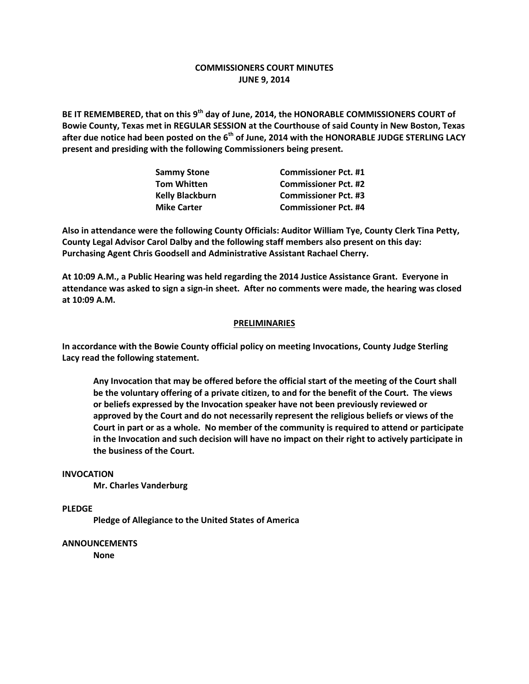### **COMMISSIONERS COURT MINUTES JUNE 9, 2014**

**BE IT REMEMBERED, that on this 9th day of June, 2014, the HONORABLE COMMISSIONERS COURT of Bowie County, Texas met in REGULAR SESSION at the Courthouse of said County in New Boston, Texas after due notice had been posted on the 6th of June, 2014 with the HONORABLE JUDGE STERLING LACY present and presiding with the following Commissioners being present.**

| <b>Sammy Stone</b>     | <b>Commissioner Pct. #1</b> |
|------------------------|-----------------------------|
| <b>Tom Whitten</b>     | <b>Commissioner Pct. #2</b> |
| <b>Kelly Blackburn</b> | <b>Commissioner Pct. #3</b> |
| <b>Mike Carter</b>     | <b>Commissioner Pct. #4</b> |

**Also in attendance were the following County Officials: Auditor William Tye, County Clerk Tina Petty, County Legal Advisor Carol Dalby and the following staff members also present on this day: Purchasing Agent Chris Goodsell and Administrative Assistant Rachael Cherry.**

**At 10:09 A.M., a Public Hearing was held regarding the 2014 Justice Assistance Grant. Everyone in attendance was asked to sign a sign-in sheet. After no comments were made, the hearing was closed at 10:09 A.M.**

#### **PRELIMINARIES**

**In accordance with the Bowie County official policy on meeting Invocations, County Judge Sterling Lacy read the following statement.**

**Any Invocation that may be offered before the official start of the meeting of the Court shall be the voluntary offering of a private citizen, to and for the benefit of the Court. The views or beliefs expressed by the Invocation speaker have not been previously reviewed or approved by the Court and do not necessarily represent the religious beliefs or views of the Court in part or as a whole. No member of the community is required to attend or participate in the Invocation and such decision will have no impact on their right to actively participate in the business of the Court.**

#### **INVOCATION**

**Mr. Charles Vanderburg**

**PLEDGE**

**Pledge of Allegiance to the United States of America**

#### **ANNOUNCEMENTS**

**None**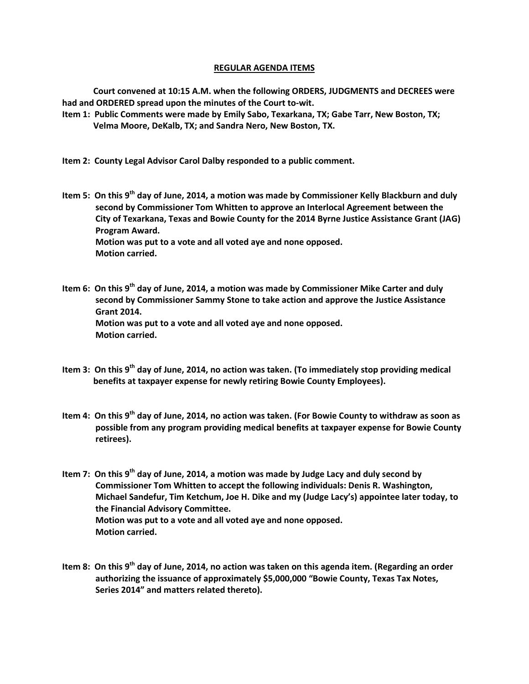#### **REGULAR AGENDA ITEMS**

**Court convened at 10:15 A.M. when the following ORDERS, JUDGMENTS and DECREES were had and ORDERED spread upon the minutes of the Court to-wit.**

**Item 1: Public Comments were made by Emily Sabo, Texarkana, TX; Gabe Tarr, New Boston, TX; Velma Moore, DeKalb, TX; and Sandra Nero, New Boston, TX.**

**Item 2: County Legal Advisor Carol Dalby responded to a public comment.**

- **Item 5: On this 9th day of June, 2014, a motion was made by Commissioner Kelly Blackburn and duly second by Commissioner Tom Whitten to approve an Interlocal Agreement between the City of Texarkana, Texas and Bowie County for the 2014 Byrne Justice Assistance Grant (JAG) Program Award. Motion was put to a vote and all voted aye and none opposed. Motion carried.**
- **Item 6: On this 9th day of June, 2014, a motion was made by Commissioner Mike Carter and duly second by Commissioner Sammy Stone to take action and approve the Justice Assistance Grant 2014. Motion was put to a vote and all voted aye and none opposed. Motion carried.**
- **Item 3: On this 9th day of June, 2014, no action was taken. (To immediately stop providing medical benefits at taxpayer expense for newly retiring Bowie County Employees).**
- **Item 4: On this 9th day of June, 2014, no action was taken. (For Bowie County to withdraw as soon as possible from any program providing medical benefits at taxpayer expense for Bowie County retirees).**
- **Item 7: On this 9th day of June, 2014, a motion was made by Judge Lacy and duly second by Commissioner Tom Whitten to accept the following individuals: Denis R. Washington, Michael Sandefur, Tim Ketchum, Joe H. Dike and my (Judge Lacy's) appointee later today, to the Financial Advisory Committee. Motion was put to a vote and all voted aye and none opposed. Motion carried.**
- **Item 8: On this 9th day of June, 2014, no action was taken on this agenda item. (Regarding an order authorizing the issuance of approximately \$5,000,000 "Bowie County, Texas Tax Notes, Series 2014" and matters related thereto).**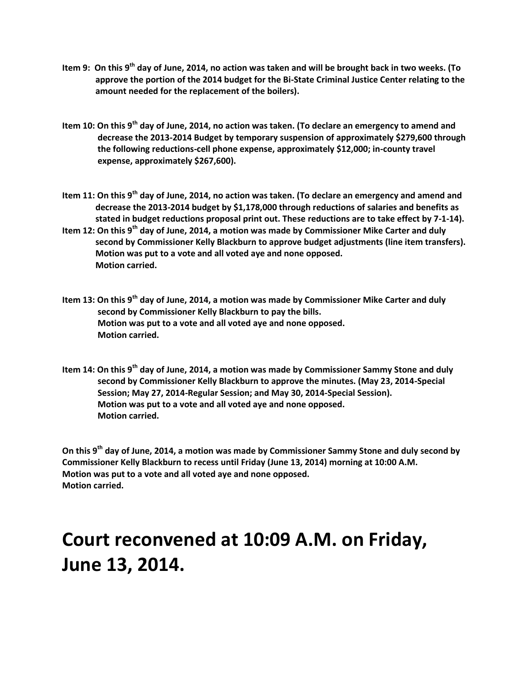- **Item 9: On this 9th day of June, 2014, no action was taken and will be brought back in two weeks. (To approve the portion of the 2014 budget for the Bi-State Criminal Justice Center relating to the amount needed for the replacement of the boilers).**
- **Item 10: On this 9th day of June, 2014, no action was taken. (To declare an emergency to amend and decrease the 2013-2014 Budget by temporary suspension of approximately \$279,600 through the following reductions-cell phone expense, approximately \$12,000; in-county travel expense, approximately \$267,600).**
- **Item 11: On this 9th day of June, 2014, no action was taken. (To declare an emergency and amend and decrease the 2013-2014 budget by \$1,178,000 through reductions of salaries and benefits as stated in budget reductions proposal print out. These reductions are to take effect by 7-1-14).**
- **Item 12: On this 9th day of June, 2014, a motion was made by Commissioner Mike Carter and duly second by Commissioner Kelly Blackburn to approve budget adjustments (line item transfers). Motion was put to a vote and all voted aye and none opposed. Motion carried.**
- **Item 13: On this 9th day of June, 2014, a motion was made by Commissioner Mike Carter and duly second by Commissioner Kelly Blackburn to pay the bills. Motion was put to a vote and all voted aye and none opposed. Motion carried.**
- **Item 14: On this 9th day of June, 2014, a motion was made by Commissioner Sammy Stone and duly second by Commissioner Kelly Blackburn to approve the minutes. (May 23, 2014-Special Session; May 27, 2014-Regular Session; and May 30, 2014-Special Session). Motion was put to a vote and all voted aye and none opposed. Motion carried.**

**On this 9th day of June, 2014, a motion was made by Commissioner Sammy Stone and duly second by Commissioner Kelly Blackburn to recess until Friday (June 13, 2014) morning at 10:00 A.M. Motion was put to a vote and all voted aye and none opposed. Motion carried.**

# **Court reconvened at 10:09 A.M. on Friday, June 13, 2014.**